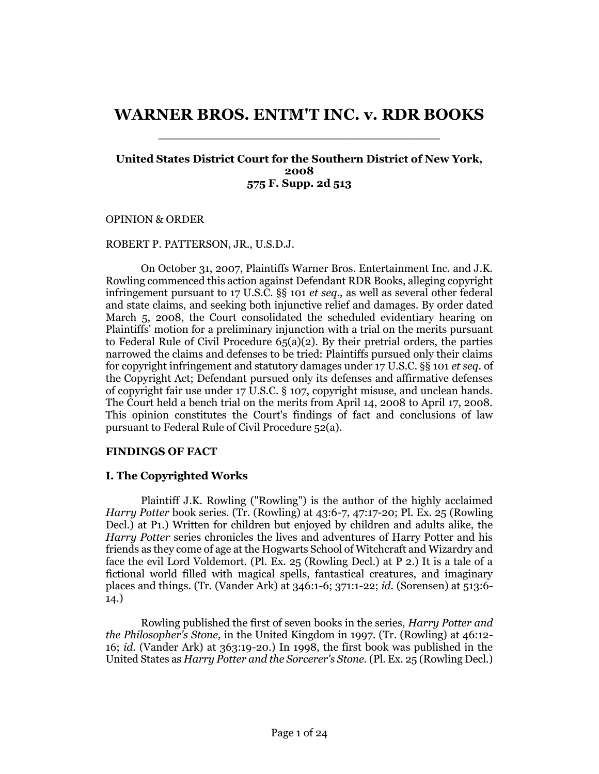# **WARNER BROS. ENTM'T INC. v. RDR BOOKS** \_\_\_\_\_\_\_\_\_\_\_\_\_\_\_\_\_\_\_\_\_\_\_\_\_\_\_\_

#### **United States District Court for the Southern District of New York, 2008 575 F. Supp. 2d 513**

#### OPINION & ORDER

#### ROBERT P. PATTERSON, JR., U.S.D.J.

On October 31, 2007, Plaintiffs Warner Bros. Entertainment Inc. and J.K. Rowling commenced this action against Defendant RDR Books, alleging copyright infringement pursuant to 17 U.S.C. §§ 101 *et seq.,* as well as several other federal and state claims, and seeking both injunctive relief and damages. By order dated March 5, 2008, the Court consolidated the scheduled evidentiary hearing on Plaintiffs' motion for a preliminary injunction with a trial on the merits pursuant to Federal Rule of Civil Procedure  $65(a)(2)$ . By their pretrial orders, the parties narrowed the claims and defenses to be tried: Plaintiffs pursued only their claims for copyright infringement and statutory damages under 17 U.S.C. §§ 101 *et seq.* of the Copyright Act; Defendant pursued only its defenses and affirmative defenses of copyright fair use under 17 U.S.C. § 107, copyright misuse, and unclean hands. The Court held a bench trial on the merits from April 14, 2008 to April 17, 2008. This opinion constitutes the Court's findings of fact and conclusions of law pursuant to Federal Rule of Civil Procedure 52(a).

#### **FINDINGS OF FACT**

#### **I. The Copyrighted Works**

Plaintiff J.K. Rowling ("Rowling") is the author of the highly acclaimed *Harry Potter* book series. (Tr. (Rowling) at 43:6-7, 47:17-20; Pl. Ex. 25 (Rowling Decl.) at P1.) Written for children but enjoyed by children and adults alike, the *Harry Potter* series chronicles the lives and adventures of Harry Potter and his friends as they come of age at the Hogwarts School of Witchcraft and Wizardry and face the evil Lord Voldemort. (Pl. Ex. 25 (Rowling Decl.) at P 2.) It is a tale of a fictional world filled with magical spells, fantastical creatures, and imaginary places and things. (Tr. (Vander Ark) at 346:1-6; 371:1-22; *id.* (Sorensen) at 513:6- 14.)

Rowling published the first of seven books in the series, *Harry Potter and the Philosopher's Stone,* in the United Kingdom in 1997. (Tr. (Rowling) at 46:12- 16; *id.* (Vander Ark) at 363:19-20.) In 1998, the first book was published in the United States as *Harry Potter and the Sorcerer's Stone.* (Pl. Ex. 25 (Rowling Decl.)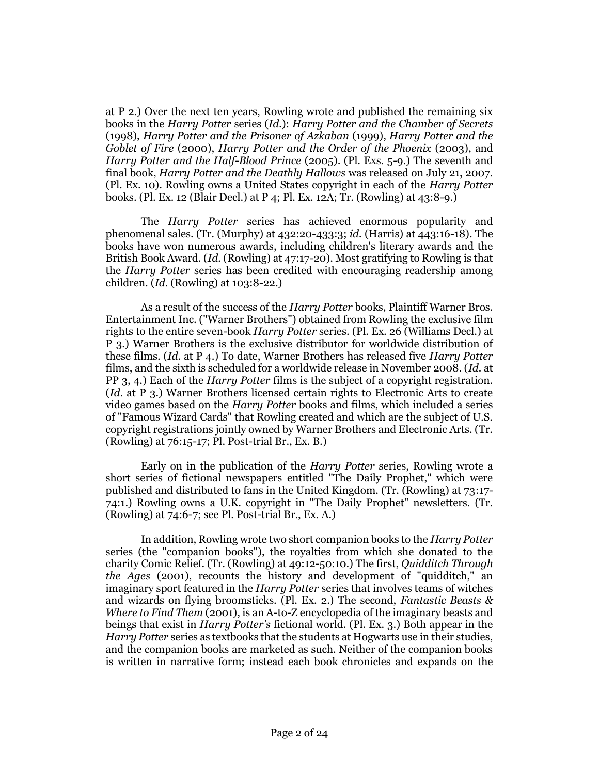at P 2.) Over the next ten years, Rowling wrote and published the remaining six books in the *Harry Potter* series (*Id.*): *Harry Potter and the Chamber of Secrets* (1998), *Harry Potter and the Prisoner of Azkaban* (1999), *Harry Potter and the Goblet of Fire* (2000), *Harry Potter and the Order of the Phoenix* (2003), and *Harry Potter and the Half-Blood Prince* (2005). (Pl. Exs. 5-9.) The seventh and final book, *Harry Potter and the Deathly Hallows* was released on July 21, 2007. (Pl. Ex. 10). Rowling owns a United States copyright in each of the *Harry Potter* books. (Pl. Ex. 12 (Blair Decl.) at P 4; Pl. Ex. 12A; Tr. (Rowling) at 43:8-9.)

The *Harry Potter* series has achieved enormous popularity and phenomenal sales. (Tr. (Murphy) at 432:20-433:3; *id.* (Harris) at 443:16-18). The books have won numerous awards, including children's literary awards and the British Book Award. (*Id.* (Rowling) at 47:17-20). Most gratifying to Rowling is that the *Harry Potter* series has been credited with encouraging readership among children. (*Id.* (Rowling) at 103:8-22.)

As a result of the success of the *Harry Potter* books, Plaintiff Warner Bros. Entertainment Inc. ("Warner Brothers") obtained from Rowling the exclusive film rights to the entire seven-book *Harry Potter* series. (Pl. Ex. 26 (Williams Decl.) at P 3.) Warner Brothers is the exclusive distributor for worldwide distribution of these films. (*Id.* at P 4.) To date, Warner Brothers has released five *Harry Potter* films, and the sixth is scheduled for a worldwide release in November 2008. (*Id.* at PP 3, 4.) Each of the *Harry Potter* films is the subject of a copyright registration. (*Id.* at P 3.) Warner Brothers licensed certain rights to Electronic Arts to create video games based on the *Harry Potter* books and films, which included a series of "Famous Wizard Cards" that Rowling created and which are the subject of U.S. copyright registrations jointly owned by Warner Brothers and Electronic Arts. (Tr. (Rowling) at 76:15-17; Pl. Post-trial Br., Ex. B.)

Early on in the publication of the *Harry Potter* series, Rowling wrote a short series of fictional newspapers entitled "The Daily Prophet," which were published and distributed to fans in the United Kingdom. (Tr. (Rowling) at 73:17- 74:1.) Rowling owns a U.K. copyright in "The Daily Prophet" newsletters. (Tr. (Rowling) at 74:6-7; see Pl. Post-trial Br., Ex. A.)

In addition, Rowling wrote two short companion books to the *Harry Potter* series (the "companion books"), the royalties from which she donated to the charity Comic Relief. (Tr. (Rowling) at 49:12-50:10.) The first, *Quidditch Through the Ages* (2001), recounts the history and development of "quidditch," an imaginary sport featured in the *Harry Potter* series that involves teams of witches and wizards on flying broomsticks. (Pl. Ex. 2.) The second, *Fantastic Beasts & Where to Find Them* (2001), is an A-to-Z encyclopedia of the imaginary beasts and beings that exist in *Harry Potter's* fictional world. (Pl. Ex. 3.) Both appear in the *Harry Potter* series as textbooks that the students at Hogwarts use in their studies, and the companion books are marketed as such. Neither of the companion books is written in narrative form; instead each book chronicles and expands on the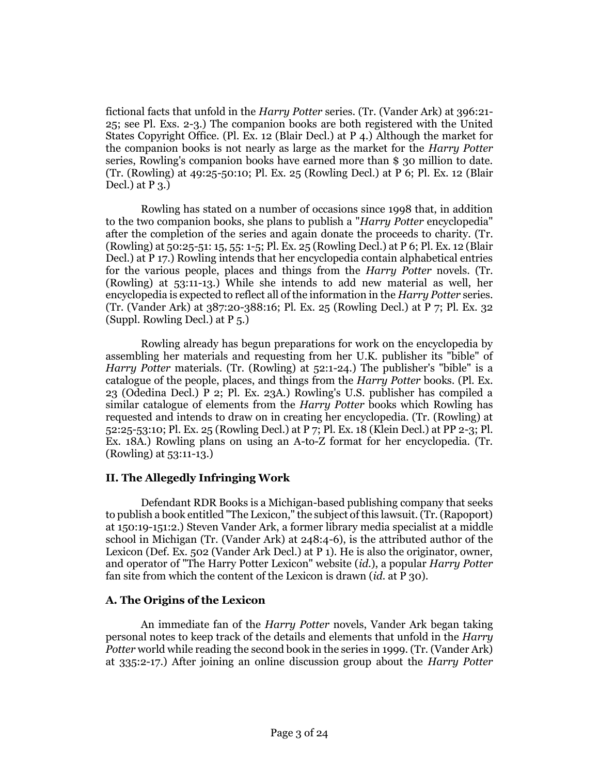fictional facts that unfold in the *Harry Potter* series. (Tr. (Vander Ark) at 396:21- 25; see Pl. Exs. 2-3.) The companion books are both registered with the United States Copyright Office. (Pl. Ex. 12 (Blair Decl.) at P 4.) Although the market for the companion books is not nearly as large as the market for the *Harry Potter* series, Rowling's companion books have earned more than \$ 30 million to date. (Tr. (Rowling) at 49:25-50:10; Pl. Ex. 25 (Rowling Decl.) at P 6; Pl. Ex. 12 (Blair Decl.) at  $P_3$ .

Rowling has stated on a number of occasions since 1998 that, in addition to the two companion books, she plans to publish a "*Harry Potter* encyclopedia" after the completion of the series and again donate the proceeds to charity. (Tr. (Rowling) at 50:25-51: 15, 55: 1-5; Pl. Ex. 25 (Rowling Decl.) at P 6; Pl. Ex. 12 (Blair Decl.) at P 17.) Rowling intends that her encyclopedia contain alphabetical entries for the various people, places and things from the *Harry Potter* novels. (Tr. (Rowling) at 53:11-13.) While she intends to add new material as well, her encyclopedia is expected to reflect all of the information in the *Harry Potter* series. (Tr. (Vander Ark) at 387:20-388:16; Pl. Ex. 25 (Rowling Decl.) at P 7; Pl. Ex. 32 (Suppl. Rowling Decl.) at P 5.)

Rowling already has begun preparations for work on the encyclopedia by assembling her materials and requesting from her U.K. publisher its "bible" of *Harry Potter* materials. (Tr. (Rowling) at 52:1-24.) The publisher's "bible" is a catalogue of the people, places, and things from the *Harry Potter* books. (Pl. Ex. 23 (Odedina Decl.) P 2; Pl. Ex. 23A.) Rowling's U.S. publisher has compiled a similar catalogue of elements from the *Harry Potter* books which Rowling has requested and intends to draw on in creating her encyclopedia. (Tr. (Rowling) at 52:25-53:10; Pl. Ex. 25 (Rowling Decl.) at P 7; Pl. Ex. 18 (Klein Decl.) at PP 2-3; Pl. Ex. 18A.) Rowling plans on using an A-to-Z format for her encyclopedia. (Tr. (Rowling) at 53:11-13.)

## **II. The Allegedly Infringing Work**

Defendant RDR Books is a Michigan-based publishing company that seeks to publish a book entitled "The Lexicon," the subject of this lawsuit. (Tr. (Rapoport) at 150:19-151:2.) Steven Vander Ark, a former library media specialist at a middle school in Michigan (Tr. (Vander Ark) at 248:4-6), is the attributed author of the Lexicon (Def. Ex. 502 (Vander Ark Decl.) at P 1). He is also the originator, owner, and operator of "The Harry Potter Lexicon" website (*id.*), a popular *Harry Potter* fan site from which the content of the Lexicon is drawn (*id.* at P 30).

#### **A. The Origins of the Lexicon**

An immediate fan of the *Harry Potter* novels, Vander Ark began taking personal notes to keep track of the details and elements that unfold in the *Harry Potter* world while reading the second book in the series in 1999. (Tr. (Vander Ark) at 335:2-17.) After joining an online discussion group about the *Harry Potter*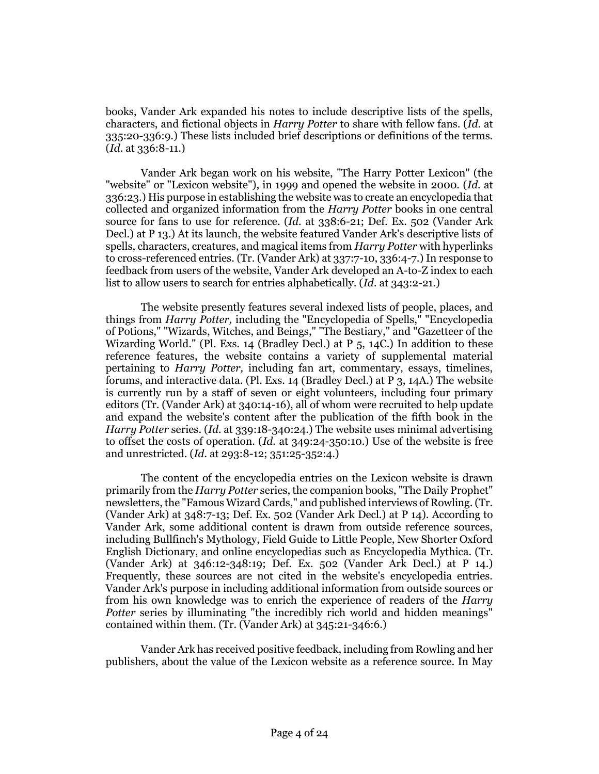books, Vander Ark expanded his notes to include descriptive lists of the spells, characters, and fictional objects in *Harry Potter* to share with fellow fans. (*Id.* at 335:20-336:9.) These lists included brief descriptions or definitions of the terms. (*Id.* at 336:8-11.)

Vander Ark began work on his website, "The Harry Potter Lexicon" (the "website" or "Lexicon website"), in 1999 and opened the website in 2000. (*Id.* at 336:23.) His purpose in establishing the website was to create an encyclopedia that collected and organized information from the *Harry Potter* books in one central source for fans to use for reference. (*Id.* at 338:6-21; Def. Ex. 502 (Vander Ark Decl.) at P 13.) At its launch, the website featured Vander Ark's descriptive lists of spells, characters, creatures, and magical items from *Harry Potter* with hyperlinks to cross-referenced entries. (Tr. (Vander Ark) at 337:7-10, 336:4-7.) In response to feedback from users of the website, Vander Ark developed an A-to-Z index to each list to allow users to search for entries alphabetically. (*Id.* at 343:2-21.)

The website presently features several indexed lists of people, places, and things from *Harry Potter,* including the "Encyclopedia of Spells," "Encyclopedia of Potions," "Wizards, Witches, and Beings," "The Bestiary," and "Gazetteer of the Wizarding World." (Pl. Exs. 14 (Bradley Decl.) at P 5, 14C.) In addition to these reference features, the website contains a variety of supplemental material pertaining to *Harry Potter,* including fan art, commentary, essays, timelines, forums, and interactive data. (Pl. Exs. 14 (Bradley Decl.) at P 3, 14A.) The website is currently run by a staff of seven or eight volunteers, including four primary editors (Tr. (Vander Ark) at 340:14-16), all of whom were recruited to help update and expand the website's content after the publication of the fifth book in the *Harry Potter* series. (*Id.* at 339:18-340:24.) The website uses minimal advertising to offset the costs of operation. (*Id.* at 349:24-350:10.) Use of the website is free and unrestricted. (*Id.* at 293:8-12; 351:25-352:4.)

The content of the encyclopedia entries on the Lexicon website is drawn primarily from the *Harry Potter* series, the companion books, "The Daily Prophet" newsletters, the "Famous Wizard Cards," and published interviews of Rowling. (Tr. (Vander Ark) at 348:7-13; Def. Ex. 502 (Vander Ark Decl.) at P 14). According to Vander Ark, some additional content is drawn from outside reference sources, including Bullfinch's Mythology, Field Guide to Little People, New Shorter Oxford English Dictionary, and online encyclopedias such as Encyclopedia Mythica. (Tr. (Vander Ark) at 346:12-348:19; Def. Ex. 502 (Vander Ark Decl.) at P 14.) Frequently, these sources are not cited in the website's encyclopedia entries. Vander Ark's purpose in including additional information from outside sources or from his own knowledge was to enrich the experience of readers of the *Harry Potter* series by illuminating "the incredibly rich world and hidden meanings" contained within them. (Tr. (Vander Ark) at 345:21-346:6.)

Vander Ark has received positive feedback, including from Rowling and her publishers, about the value of the Lexicon website as a reference source. In May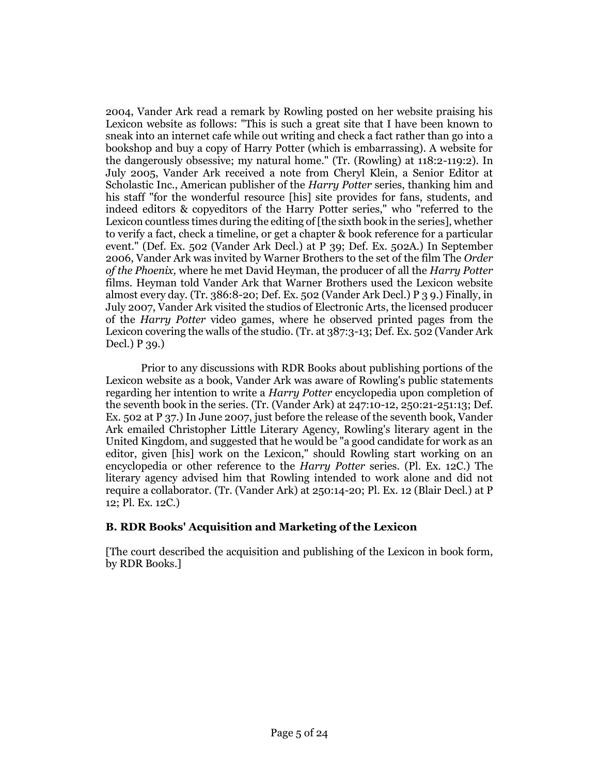2004, Vander Ark read a remark by Rowling posted on her website praising his Lexicon website as follows: "This is such a great site that I have been known to sneak into an internet cafe while out writing and check a fact rather than go into a bookshop and buy a copy of Harry Potter (which is embarrassing). A website for the dangerously obsessive; my natural home." (Tr. (Rowling) at 118:2-119:2). In July 2005, Vander Ark received a note from Cheryl Klein, a Senior Editor at Scholastic Inc., American publisher of the *Harry Potter* series, thanking him and his staff "for the wonderful resource [his] site provides for fans, students, and indeed editors & copyeditors of the Harry Potter series," who "referred to the Lexicon countless times during the editing of [the sixth book in the series], whether to verify a fact, check a timeline, or get a chapter & book reference for a particular event." (Def. Ex. 502 (Vander Ark Decl.) at P 39; Def. Ex. 502A.) In September 2006, Vander Ark was invited by Warner Brothers to the set of the film The *Order of the Phoenix,* where he met David Heyman, the producer of all the *Harry Potter* films. Heyman told Vander Ark that Warner Brothers used the Lexicon website almost every day. (Tr. 386:8-20; Def. Ex. 502 (Vander Ark Decl.) P 3 9.) Finally, in July 2007, Vander Ark visited the studios of Electronic Arts, the licensed producer of the *Harry Potter* video games, where he observed printed pages from the Lexicon covering the walls of the studio. (Tr. at 387:3-13; Def. Ex. 502 (Vander Ark Decl.) P 39.)

Prior to any discussions with RDR Books about publishing portions of the Lexicon website as a book, Vander Ark was aware of Rowling's public statements regarding her intention to write a *Harry Potter* encyclopedia upon completion of the seventh book in the series. (Tr. (Vander Ark) at 247:10-12, 250:21-251:13; Def. Ex. 502 at P 37.) In June 2007, just before the release of the seventh book, Vander Ark emailed Christopher Little Literary Agency, Rowling's literary agent in the United Kingdom, and suggested that he would be "a good candidate for work as an editor, given [his] work on the Lexicon," should Rowling start working on an encyclopedia or other reference to the *Harry Potter* series. (Pl. Ex. 12C.) The literary agency advised him that Rowling intended to work alone and did not require a collaborator. (Tr. (Vander Ark) at 250:14-20; Pl. Ex. 12 (Blair Decl.) at P 12; Pl. Ex. 12C.)

## **B. RDR Books' Acquisition and Marketing of the Lexicon**

[The court described the acquisition and publishing of the Lexicon in book form, by RDR Books.]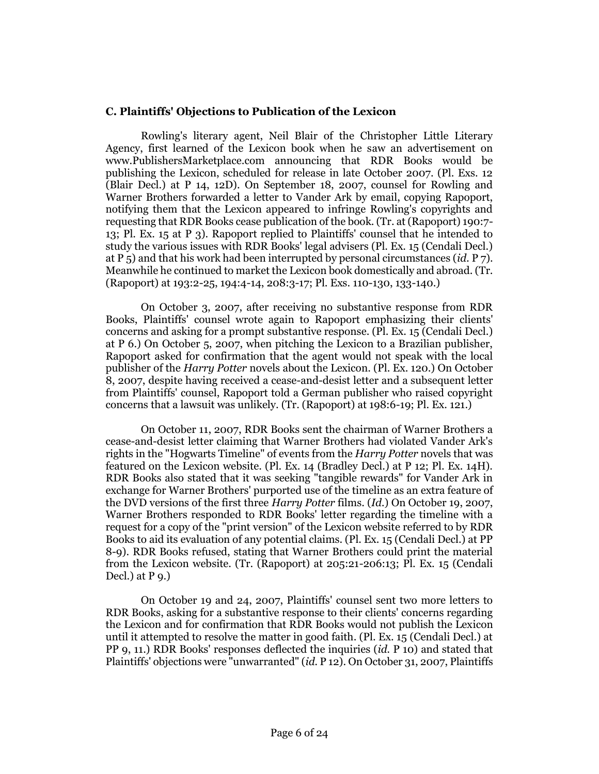#### **C. Plaintiffs' Objections to Publication of the Lexicon**

Rowling's literary agent, Neil Blair of the Christopher Little Literary Agency, first learned of the Lexicon book when he saw an advertisement on www.PublishersMarketplace.com announcing that RDR Books would be publishing the Lexicon, scheduled for release in late October 2007. (Pl. Exs. 12 (Blair Decl.) at P 14, 12D). On September 18, 2007, counsel for Rowling and Warner Brothers forwarded a letter to Vander Ark by email, copying Rapoport, notifying them that the Lexicon appeared to infringe Rowling's copyrights and requesting that RDR Books cease publication of the book. (Tr. at (Rapoport) 190:7- 13; Pl. Ex. 15 at P 3). Rapoport replied to Plaintiffs' counsel that he intended to study the various issues with RDR Books' legal advisers (Pl. Ex. 15 (Cendali Decl.) at P 5) and that his work had been interrupted by personal circumstances (*id.* P 7). Meanwhile he continued to market the Lexicon book domestically and abroad. (Tr. (Rapoport) at 193:2-25, 194:4-14, 208:3-17; Pl. Exs. 110-130, 133-140.)

On October 3, 2007, after receiving no substantive response from RDR Books, Plaintiffs' counsel wrote again to Rapoport emphasizing their clients' concerns and asking for a prompt substantive response. (Pl. Ex. 15 (Cendali Decl.) at P 6.) On October 5, 2007, when pitching the Lexicon to a Brazilian publisher, Rapoport asked for confirmation that the agent would not speak with the local publisher of the *Harry Potter* novels about the Lexicon. (Pl. Ex. 120.) On October 8, 2007, despite having received a cease-and-desist letter and a subsequent letter from Plaintiffs' counsel, Rapoport told a German publisher who raised copyright concerns that a lawsuit was unlikely. (Tr. (Rapoport) at 198:6-19; Pl. Ex. 121.)

On October 11, 2007, RDR Books sent the chairman of Warner Brothers a cease-and-desist letter claiming that Warner Brothers had violated Vander Ark's rights in the "Hogwarts Timeline" of events from the *Harry Potter* novels that was featured on the Lexicon website. (Pl. Ex. 14 (Bradley Decl.) at P 12; Pl. Ex. 14H). RDR Books also stated that it was seeking "tangible rewards" for Vander Ark in exchange for Warner Brothers' purported use of the timeline as an extra feature of the DVD versions of the first three *Harry Potter* films. (*Id.*) On October 19, 2007, Warner Brothers responded to RDR Books' letter regarding the timeline with a request for a copy of the "print version" of the Lexicon website referred to by RDR Books to aid its evaluation of any potential claims. (Pl. Ex. 15 (Cendali Decl.) at PP 8-9). RDR Books refused, stating that Warner Brothers could print the material from the Lexicon website. (Tr. (Rapoport) at 205:21-206:13; Pl. Ex. 15 (Cendali Decl.) at  $P_9$ .)

On October 19 and 24, 2007, Plaintiffs' counsel sent two more letters to RDR Books, asking for a substantive response to their clients' concerns regarding the Lexicon and for confirmation that RDR Books would not publish the Lexicon until it attempted to resolve the matter in good faith. (Pl. Ex. 15 (Cendali Decl.) at PP 9, 11.) RDR Books' responses deflected the inquiries (*id.* P 10) and stated that Plaintiffs' objections were "unwarranted" (*id.* P 12). On October 31, 2007, Plaintiffs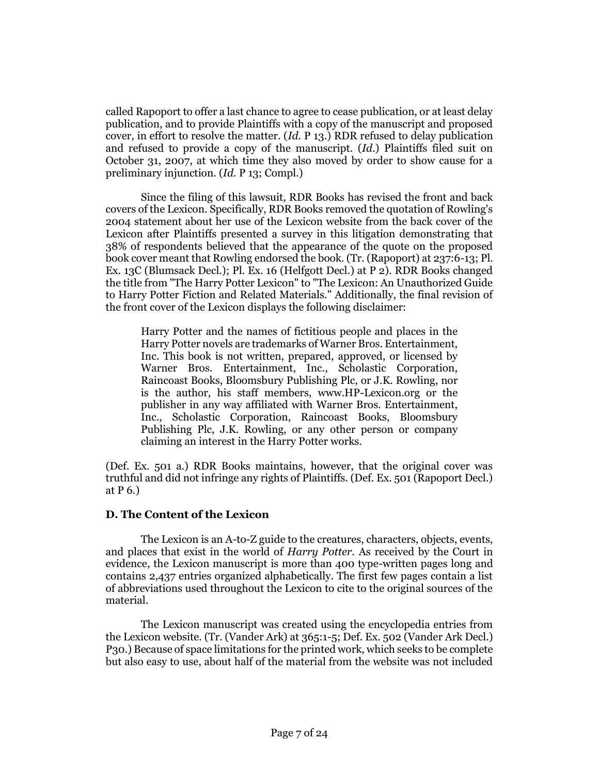called Rapoport to offer a last chance to agree to cease publication, or at least delay publication, and to provide Plaintiffs with a copy of the manuscript and proposed cover, in effort to resolve the matter. (*Id.* P 13.) RDR refused to delay publication and refused to provide a copy of the manuscript. (*Id.*) Plaintiffs filed suit on October 31, 2007, at which time they also moved by order to show cause for a preliminary injunction. (*Id.* P 13; Compl.)

Since the filing of this lawsuit, RDR Books has revised the front and back covers of the Lexicon. Specifically, RDR Books removed the quotation of Rowling's 2004 statement about her use of the Lexicon website from the back cover of the Lexicon after Plaintiffs presented a survey in this litigation demonstrating that 38% of respondents believed that the appearance of the quote on the proposed book cover meant that Rowling endorsed the book. (Tr. (Rapoport) at 237:6-13; Pl. Ex. 13C (Blumsack Decl.); Pl. Ex. 16 (Helfgott Decl.) at P 2). RDR Books changed the title from "The Harry Potter Lexicon" to "The Lexicon: An Unauthorized Guide to Harry Potter Fiction and Related Materials." Additionally, the final revision of the front cover of the Lexicon displays the following disclaimer:

Harry Potter and the names of fictitious people and places in the Harry Potter novels are trademarks of Warner Bros. Entertainment, Inc. This book is not written, prepared, approved, or licensed by Warner Bros. Entertainment, Inc., Scholastic Corporation, Raincoast Books, Bloomsbury Publishing Plc, or J.K. Rowling, nor is the author, his staff members, www.HP-Lexicon.org or the publisher in any way affiliated with Warner Bros. Entertainment, Inc., Scholastic Corporation, Raincoast Books, Bloomsbury Publishing Plc, J.K. Rowling, or any other person or company claiming an interest in the Harry Potter works.

(Def. Ex. 501 a.) RDR Books maintains, however, that the original cover was truthful and did not infringe any rights of Plaintiffs. (Def. Ex. 501 (Rapoport Decl.) at P 6.)

## **D. The Content of the Lexicon**

The Lexicon is an A-to-Z guide to the creatures, characters, objects, events, and places that exist in the world of *Harry Potter.* As received by the Court in evidence, the Lexicon manuscript is more than 400 type-written pages long and contains 2,437 entries organized alphabetically. The first few pages contain a list of abbreviations used throughout the Lexicon to cite to the original sources of the material.

The Lexicon manuscript was created using the encyclopedia entries from the Lexicon website. (Tr. (Vander Ark) at 365:1-5; Def. Ex. 502 (Vander Ark Decl.) P30.) Because of space limitations for the printed work, which seeks to be complete but also easy to use, about half of the material from the website was not included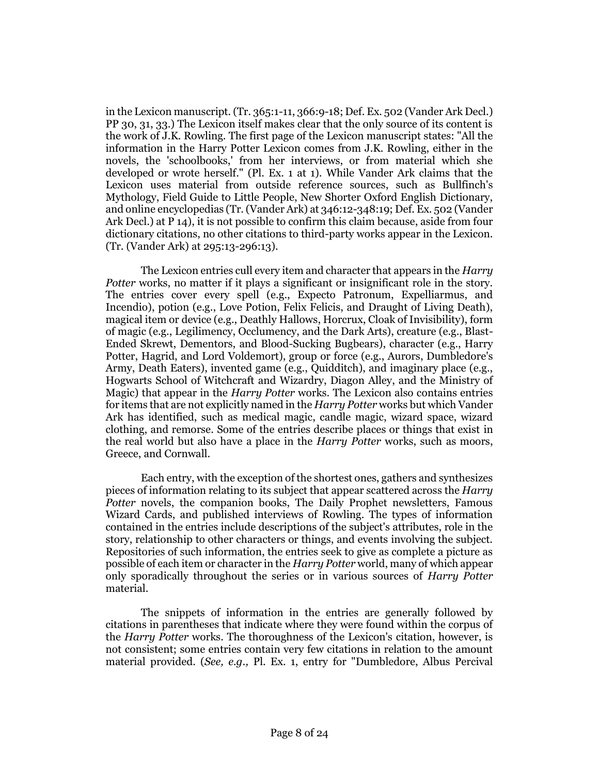in the Lexicon manuscript. (Tr. 365:1-11, 366:9-18; Def. Ex. 502 (Vander Ark Decl.) PP 30, 31, 33.) The Lexicon itself makes clear that the only source of its content is the work of J.K. Rowling. The first page of the Lexicon manuscript states: "All the information in the Harry Potter Lexicon comes from J.K. Rowling, either in the novels, the 'schoolbooks,' from her interviews, or from material which she developed or wrote herself." (Pl. Ex. 1 at 1). While Vander Ark claims that the Lexicon uses material from outside reference sources, such as Bullfinch's Mythology, Field Guide to Little People, New Shorter Oxford English Dictionary, and online encyclopedias (Tr. (Vander Ark) at 346:12-348:19; Def. Ex. 502 (Vander Ark Decl.) at P 14), it is not possible to confirm this claim because, aside from four dictionary citations, no other citations to third-party works appear in the Lexicon. (Tr. (Vander Ark) at 295:13-296:13).

The Lexicon entries cull every item and character that appears in the *Harry Potter* works, no matter if it plays a significant or insignificant role in the story. The entries cover every spell (e.g., Expecto Patronum, Expelliarmus, and Incendio), potion (e.g., Love Potion, Felix Felicis, and Draught of Living Death), magical item or device (e.g., Deathly Hallows, Horcrux, Cloak of Invisibility), form of magic (e.g., Legilimency, Occlumency, and the Dark Arts), creature (e.g., Blast-Ended Skrewt, Dementors, and Blood-Sucking Bugbears), character (e.g., Harry Potter, Hagrid, and Lord Voldemort), group or force (e.g., Aurors, Dumbledore's Army, Death Eaters), invented game (e.g., Quidditch), and imaginary place (e.g., Hogwarts School of Witchcraft and Wizardry, Diagon Alley, and the Ministry of Magic) that appear in the *Harry Potter* works. The Lexicon also contains entries for items that are not explicitly named in the *Harry Potter* works but which Vander Ark has identified, such as medical magic, candle magic, wizard space, wizard clothing, and remorse. Some of the entries describe places or things that exist in the real world but also have a place in the *Harry Potter* works, such as moors, Greece, and Cornwall.

Each entry, with the exception of the shortest ones, gathers and synthesizes pieces of information relating to its subject that appear scattered across the *Harry Potter* novels, the companion books, The Daily Prophet newsletters, Famous Wizard Cards, and published interviews of Rowling. The types of information contained in the entries include descriptions of the subject's attributes, role in the story, relationship to other characters or things, and events involving the subject. Repositories of such information, the entries seek to give as complete a picture as possible of each item or character in the *Harry Potter* world, many of which appear only sporadically throughout the series or in various sources of *Harry Potter* material.

The snippets of information in the entries are generally followed by citations in parentheses that indicate where they were found within the corpus of the *Harry Potter* works. The thoroughness of the Lexicon's citation, however, is not consistent; some entries contain very few citations in relation to the amount material provided. (*See, e.g.,* Pl. Ex. 1, entry for "Dumbledore, Albus Percival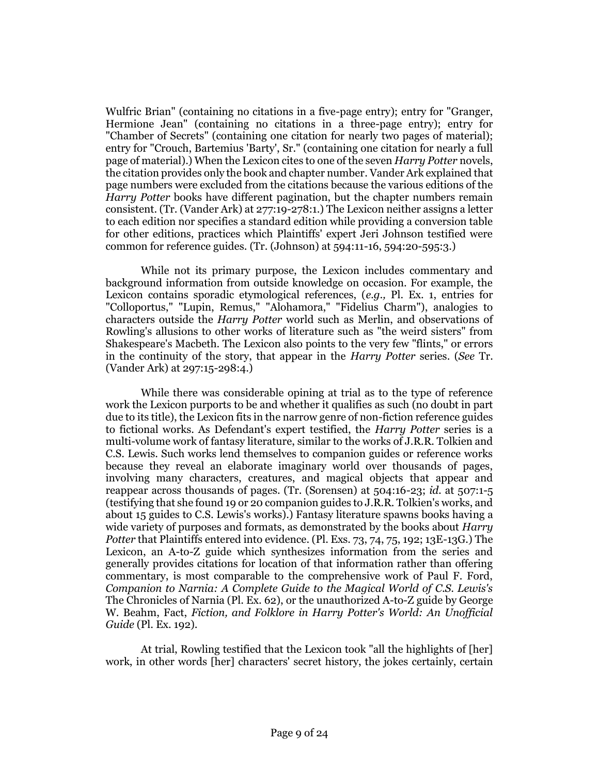Wulfric Brian" (containing no citations in a five-page entry); entry for "Granger, Hermione Jean" (containing no citations in a three-page entry); entry for "Chamber of Secrets" (containing one citation for nearly two pages of material); entry for "Crouch, Bartemius 'Barty', Sr." (containing one citation for nearly a full page of material).) When the Lexicon cites to one of the seven *Harry Potter* novels, the citation provides only the book and chapter number. Vander Ark explained that page numbers were excluded from the citations because the various editions of the *Harry Potter* books have different pagination, but the chapter numbers remain consistent. (Tr. (Vander Ark) at 277:19-278:1.) The Lexicon neither assigns a letter to each edition nor specifies a standard edition while providing a conversion table for other editions, practices which Plaintiffs' expert Jeri Johnson testified were common for reference guides. (Tr. (Johnson) at 594:11-16, 594:20-595:3.)

While not its primary purpose, the Lexicon includes commentary and background information from outside knowledge on occasion. For example, the Lexicon contains sporadic etymological references, (*e.g.,* Pl. Ex. 1, entries for "Colloportus," "Lupin, Remus," "Alohamora," "Fidelius Charm"), analogies to characters outside the *Harry Potter* world such as Merlin, and observations of Rowling's allusions to other works of literature such as "the weird sisters" from Shakespeare's Macbeth. The Lexicon also points to the very few "flints," or errors in the continuity of the story, that appear in the *Harry Potter* series. (*See* Tr. (Vander Ark) at 297:15-298:4.)

While there was considerable opining at trial as to the type of reference work the Lexicon purports to be and whether it qualifies as such (no doubt in part due to its title), the Lexicon fits in the narrow genre of non-fiction reference guides to fictional works. As Defendant's expert testified, the *Harry Potter* series is a multi-volume work of fantasy literature, similar to the works of J.R.R. Tolkien and C.S. Lewis. Such works lend themselves to companion guides or reference works because they reveal an elaborate imaginary world over thousands of pages, involving many characters, creatures, and magical objects that appear and reappear across thousands of pages. (Tr. (Sorensen) at 504:16-23; *id.* at 507:1-5 (testifying that she found 19 or 20 companion guides to J.R.R. Tolkien's works, and about 15 guides to C.S. Lewis's works).) Fantasy literature spawns books having a wide variety of purposes and formats, as demonstrated by the books about *Harry Potter* that Plaintiffs entered into evidence. (Pl. Exs. 73, 74, 75, 192; 13E-13G.) The Lexicon, an A-to-Z guide which synthesizes information from the series and generally provides citations for location of that information rather than offering commentary, is most comparable to the comprehensive work of Paul F. Ford, *Companion to Narnia: A Complete Guide to the Magical World of C.S. Lewis's* The Chronicles of Narnia (Pl. Ex. 62), or the unauthorized A-to-Z guide by George W. Beahm, Fact, *Fiction, and Folklore in Harry Potter's World: An Unofficial Guide* (Pl. Ex. 192).

At trial, Rowling testified that the Lexicon took "all the highlights of [her] work, in other words [her] characters' secret history, the jokes certainly, certain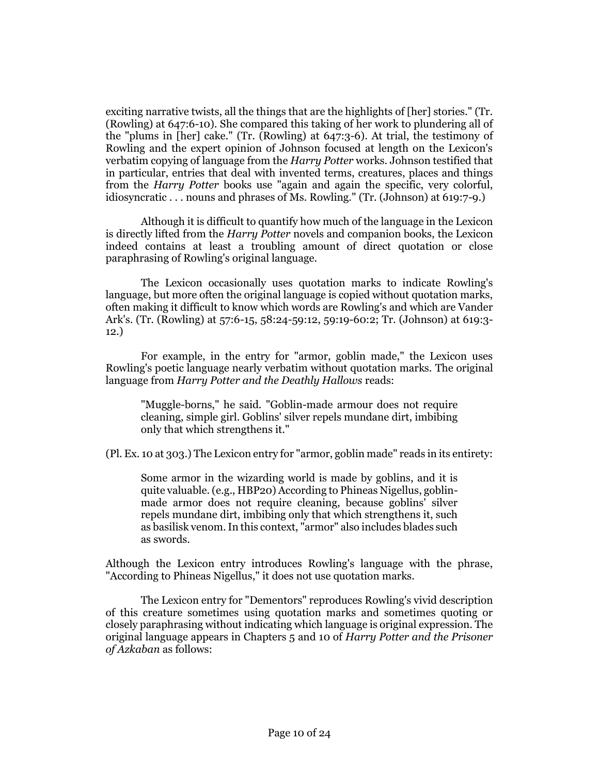exciting narrative twists, all the things that are the highlights of [her] stories." (Tr. (Rowling) at 647:6-10). She compared this taking of her work to plundering all of the "plums in [her] cake." (Tr. (Rowling) at  $647:3-6$ ). At trial, the testimony of Rowling and the expert opinion of Johnson focused at length on the Lexicon's verbatim copying of language from the *Harry Potter* works. Johnson testified that in particular, entries that deal with invented terms, creatures, places and things from the *Harry Potter* books use "again and again the specific, very colorful, idiosyncratic . . . nouns and phrases of Ms. Rowling." (Tr. (Johnson) at 619:7-9.)

Although it is difficult to quantify how much of the language in the Lexicon is directly lifted from the *Harry Potter* novels and companion books, the Lexicon indeed contains at least a troubling amount of direct quotation or close paraphrasing of Rowling's original language.

The Lexicon occasionally uses quotation marks to indicate Rowling's language, but more often the original language is copied without quotation marks, often making it difficult to know which words are Rowling's and which are Vander Ark's. (Tr. (Rowling) at 57:6-15, 58:24-59:12, 59:19-60:2; Tr. (Johnson) at 619:3- 12.)

For example, in the entry for "armor, goblin made," the Lexicon uses Rowling's poetic language nearly verbatim without quotation marks. The original language from *Harry Potter and the Deathly Hallows* reads:

"Muggle-borns," he said. "Goblin-made armour does not require cleaning, simple girl. Goblins' silver repels mundane dirt, imbibing only that which strengthens it."

(Pl. Ex. 10 at 303.) The Lexicon entry for "armor, goblin made" reads in its entirety:

Some armor in the wizarding world is made by goblins, and it is quite valuable. (e.g., HBP20) According to Phineas Nigellus, goblinmade armor does not require cleaning, because goblins' silver repels mundane dirt, imbibing only that which strengthens it, such as basilisk venom. In this context, "armor" also includes blades such as swords.

Although the Lexicon entry introduces Rowling's language with the phrase, "According to Phineas Nigellus," it does not use quotation marks.

The Lexicon entry for "Dementors" reproduces Rowling's vivid description of this creature sometimes using quotation marks and sometimes quoting or closely paraphrasing without indicating which language is original expression. The original language appears in Chapters 5 and 10 of *Harry Potter and the Prisoner of Azkaban* as follows: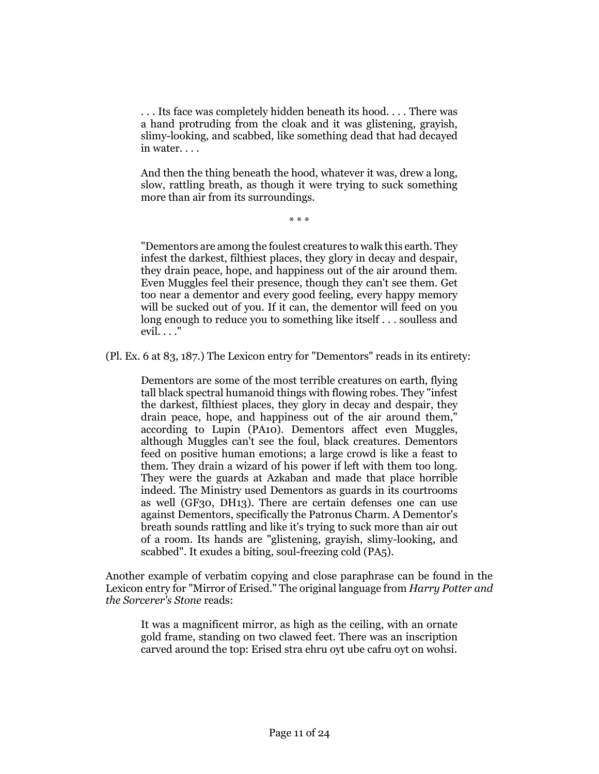. . . Its face was completely hidden beneath its hood. . . . There was a hand protruding from the cloak and it was glistening, grayish, slimy-looking, and scabbed, like something dead that had decayed in water. . . .

And then the thing beneath the hood, whatever it was, drew a long, slow, rattling breath, as though it were trying to suck something more than air from its surroundings.

\* \* \*

"Dementors are among the foulest creatures to walk this earth. They infest the darkest, filthiest places, they glory in decay and despair, they drain peace, hope, and happiness out of the air around them. Even Muggles feel their presence, though they can't see them. Get too near a dementor and every good feeling, every happy memory will be sucked out of you. If it can, the dementor will feed on you long enough to reduce you to something like itself . . . soulless and evil. . . ."

(Pl. Ex. 6 at 83, 187.) The Lexicon entry for "Dementors" reads in its entirety:

Dementors are some of the most terrible creatures on earth, flying tall black spectral humanoid things with flowing robes. They "infest the darkest, filthiest places, they glory in decay and despair, they drain peace, hope, and happiness out of the air around them," according to Lupin (PA10). Dementors affect even Muggles, although Muggles can't see the foul, black creatures. Dementors feed on positive human emotions; a large crowd is like a feast to them. They drain a wizard of his power if left with them too long. They were the guards at Azkaban and made that place horrible indeed. The Ministry used Dementors as guards in its courtrooms as well (GF30, DH13). There are certain defenses one can use against Dementors, specifically the Patronus Charm. A Dementor's breath sounds rattling and like it's trying to suck more than air out of a room. Its hands are "glistening, grayish, slimy-looking, and scabbed". It exudes a biting, soul-freezing cold (PA5).

Another example of verbatim copying and close paraphrase can be found in the Lexicon entry for "Mirror of Erised." The original language from *Harry Potter and the Sorcerer's Stone* reads:

It was a magnificent mirror, as high as the ceiling, with an ornate gold frame, standing on two clawed feet. There was an inscription carved around the top: Erised stra ehru oyt ube cafru oyt on wohsi.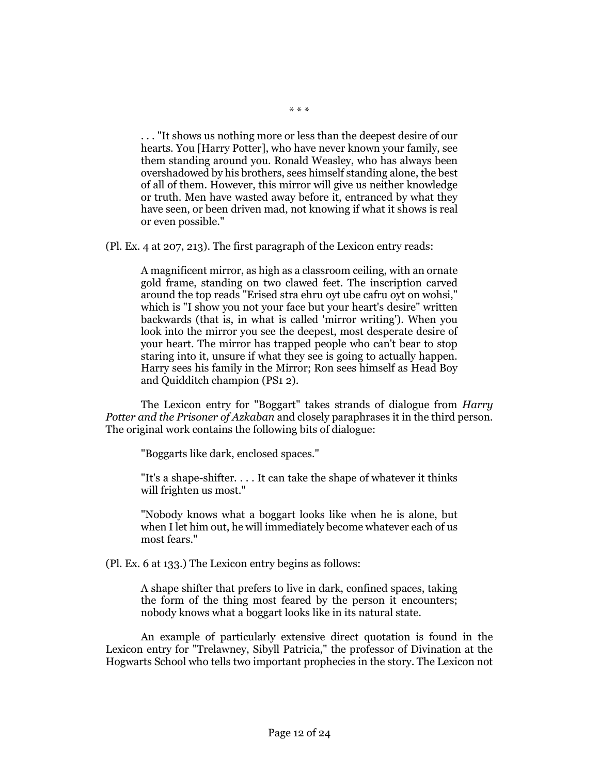. . . "It shows us nothing more or less than the deepest desire of our hearts. You [Harry Potter], who have never known your family, see them standing around you. Ronald Weasley, who has always been overshadowed by his brothers, sees himself standing alone, the best of all of them. However, this mirror will give us neither knowledge or truth. Men have wasted away before it, entranced by what they have seen, or been driven mad, not knowing if what it shows is real or even possible."

(Pl. Ex. 4 at 207, 213). The first paragraph of the Lexicon entry reads:

A magnificent mirror, as high as a classroom ceiling, with an ornate gold frame, standing on two clawed feet. The inscription carved around the top reads "Erised stra ehru oyt ube cafru oyt on wohsi," which is "I show you not your face but your heart's desire" written backwards (that is, in what is called 'mirror writing'). When you look into the mirror you see the deepest, most desperate desire of your heart. The mirror has trapped people who can't bear to stop staring into it, unsure if what they see is going to actually happen. Harry sees his family in the Mirror; Ron sees himself as Head Boy and Quidditch champion (PS1 2).

The Lexicon entry for "Boggart" takes strands of dialogue from *Harry Potter and the Prisoner of Azkaban* and closely paraphrases it in the third person. The original work contains the following bits of dialogue:

"Boggarts like dark, enclosed spaces."

"It's a shape-shifter. . . . It can take the shape of whatever it thinks will frighten us most."

"Nobody knows what a boggart looks like when he is alone, but when I let him out, he will immediately become whatever each of us most fears."

(Pl. Ex. 6 at 133.) The Lexicon entry begins as follows:

A shape shifter that prefers to live in dark, confined spaces, taking the form of the thing most feared by the person it encounters; nobody knows what a boggart looks like in its natural state.

An example of particularly extensive direct quotation is found in the Lexicon entry for "Trelawney, Sibyll Patricia," the professor of Divination at the Hogwarts School who tells two important prophecies in the story. The Lexicon not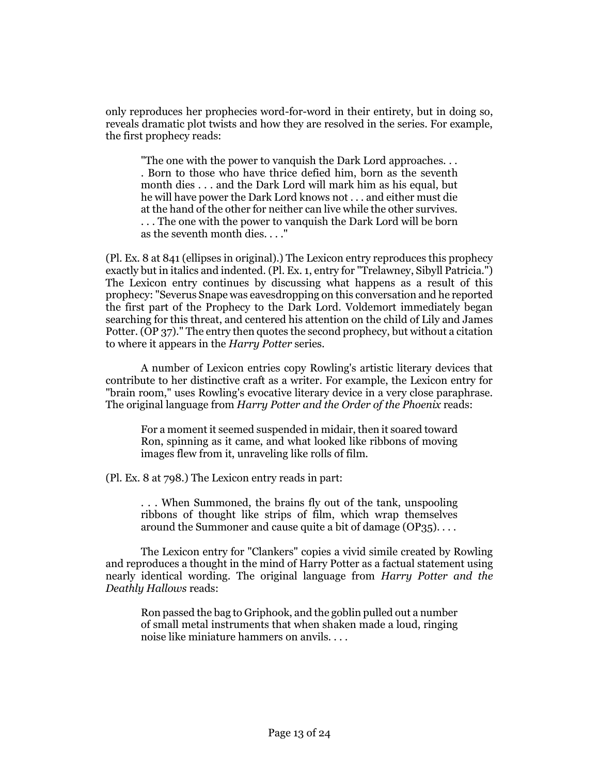only reproduces her prophecies word-for-word in their entirety, but in doing so, reveals dramatic plot twists and how they are resolved in the series. For example, the first prophecy reads:

"The one with the power to vanquish the Dark Lord approaches. . . . Born to those who have thrice defied him, born as the seventh month dies . . . and the Dark Lord will mark him as his equal, but he will have power the Dark Lord knows not . . . and either must die at the hand of the other for neither can live while the other survives. . . . The one with the power to vanquish the Dark Lord will be born as the seventh month dies. . . ."

(Pl. Ex. 8 at 841 (ellipses in original).) The Lexicon entry reproduces this prophecy exactly but in italics and indented. (Pl. Ex. 1, entry for "Trelawney, Sibyll Patricia.") The Lexicon entry continues by discussing what happens as a result of this prophecy: "Severus Snape was eavesdropping on this conversation and he reported the first part of the Prophecy to the Dark Lord. Voldemort immediately began searching for this threat, and centered his attention on the child of Lily and James Potter. (OP 37)." The entry then quotes the second prophecy, but without a citation to where it appears in the *Harry Potter* series.

A number of Lexicon entries copy Rowling's artistic literary devices that contribute to her distinctive craft as a writer. For example, the Lexicon entry for "brain room," uses Rowling's evocative literary device in a very close paraphrase. The original language from *Harry Potter and the Order of the Phoenix* reads:

For a moment it seemed suspended in midair, then it soared toward Ron, spinning as it came, and what looked like ribbons of moving images flew from it, unraveling like rolls of film.

(Pl. Ex. 8 at 798.) The Lexicon entry reads in part:

. . . When Summoned, the brains fly out of the tank, unspooling ribbons of thought like strips of film, which wrap themselves around the Summoner and cause quite a bit of damage  $(OP35)$ ...

The Lexicon entry for "Clankers" copies a vivid simile created by Rowling and reproduces a thought in the mind of Harry Potter as a factual statement using nearly identical wording. The original language from *Harry Potter and the Deathly Hallows* reads:

Ron passed the bag to Griphook, and the goblin pulled out a number of small metal instruments that when shaken made a loud, ringing noise like miniature hammers on anvils. . . .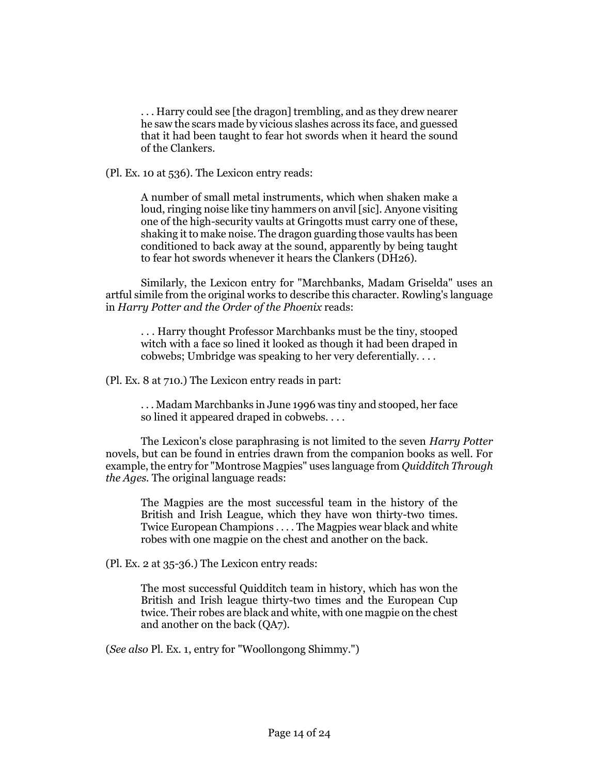. . . Harry could see [the dragon] trembling, and as they drew nearer he saw the scars made by vicious slashes across its face, and guessed that it had been taught to fear hot swords when it heard the sound of the Clankers.

(Pl. Ex. 10 at 536). The Lexicon entry reads:

A number of small metal instruments, which when shaken make a loud, ringing noise like tiny hammers on anvil [sic]. Anyone visiting one of the high-security vaults at Gringotts must carry one of these, shaking it to make noise. The dragon guarding those vaults has been conditioned to back away at the sound, apparently by being taught to fear hot swords whenever it hears the Clankers (DH26).

Similarly, the Lexicon entry for "Marchbanks, Madam Griselda" uses an artful simile from the original works to describe this character. Rowling's language in *Harry Potter and the Order of the Phoenix* reads:

. . . Harry thought Professor Marchbanks must be the tiny, stooped witch with a face so lined it looked as though it had been draped in cobwebs; Umbridge was speaking to her very deferentially. . . .

(Pl. Ex. 8 at 710.) The Lexicon entry reads in part:

. . . Madam Marchbanks in June 1996 was tiny and stooped, her face so lined it appeared draped in cobwebs. . . .

The Lexicon's close paraphrasing is not limited to the seven *Harry Potter* novels, but can be found in entries drawn from the companion books as well. For example, the entry for "Montrose Magpies" uses language from *Quidditch Through the Ages.* The original language reads:

The Magpies are the most successful team in the history of the British and Irish League, which they have won thirty-two times. Twice European Champions . . . . The Magpies wear black and white robes with one magpie on the chest and another on the back.

(Pl. Ex. 2 at 35-36.) The Lexicon entry reads:

The most successful Quidditch team in history, which has won the British and Irish league thirty-two times and the European Cup twice. Their robes are black and white, with one magpie on the chest and another on the back (QA7).

(*See also* Pl. Ex. 1, entry for "Woollongong Shimmy.")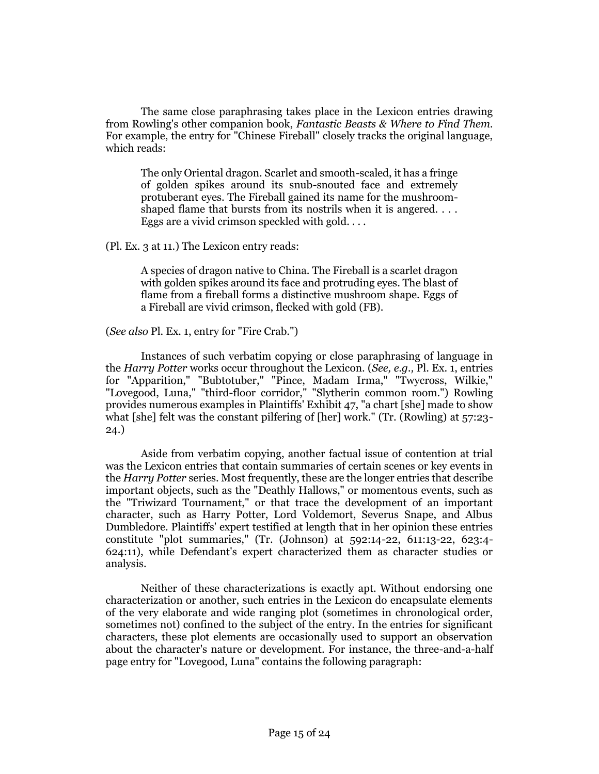The same close paraphrasing takes place in the Lexicon entries drawing from Rowling's other companion book, *Fantastic Beasts & Where to Find Them.* For example, the entry for "Chinese Fireball" closely tracks the original language, which reads:

The only Oriental dragon. Scarlet and smooth-scaled, it has a fringe of golden spikes around its snub-snouted face and extremely protuberant eyes. The Fireball gained its name for the mushroomshaped flame that bursts from its nostrils when it is angered.... Eggs are a vivid crimson speckled with gold. . . .

(Pl. Ex. 3 at 11.) The Lexicon entry reads:

A species of dragon native to China. The Fireball is a scarlet dragon with golden spikes around its face and protruding eyes. The blast of flame from a fireball forms a distinctive mushroom shape. Eggs of a Fireball are vivid crimson, flecked with gold (FB).

(*See also* Pl. Ex. 1, entry for "Fire Crab.")

Instances of such verbatim copying or close paraphrasing of language in the *Harry Potter* works occur throughout the Lexicon. (*See, e.g.,* Pl. Ex. 1, entries for "Apparition," "Bubtotuber," "Pince, Madam Irma," "Twycross, Wilkie," "Lovegood, Luna," "third-floor corridor," "Slytherin common room.") Rowling provides numerous examples in Plaintiffs' Exhibit 47, "a chart [she] made to show what [she] felt was the constant pilfering of [her] work." (Tr. (Rowling) at 57:23- 24.)

Aside from verbatim copying, another factual issue of contention at trial was the Lexicon entries that contain summaries of certain scenes or key events in the *Harry Potter* series. Most frequently, these are the longer entries that describe important objects, such as the "Deathly Hallows," or momentous events, such as the "Triwizard Tournament," or that trace the development of an important character, such as Harry Potter, Lord Voldemort, Severus Snape, and Albus Dumbledore. Plaintiffs' expert testified at length that in her opinion these entries constitute "plot summaries," (Tr. (Johnson) at 592:14-22, 611:13-22, 623:4- 624:11), while Defendant's expert characterized them as character studies or analysis.

Neither of these characterizations is exactly apt. Without endorsing one characterization or another, such entries in the Lexicon do encapsulate elements of the very elaborate and wide ranging plot (sometimes in chronological order, sometimes not) confined to the subject of the entry. In the entries for significant characters, these plot elements are occasionally used to support an observation about the character's nature or development. For instance, the three-and-a-half page entry for "Lovegood, Luna" contains the following paragraph: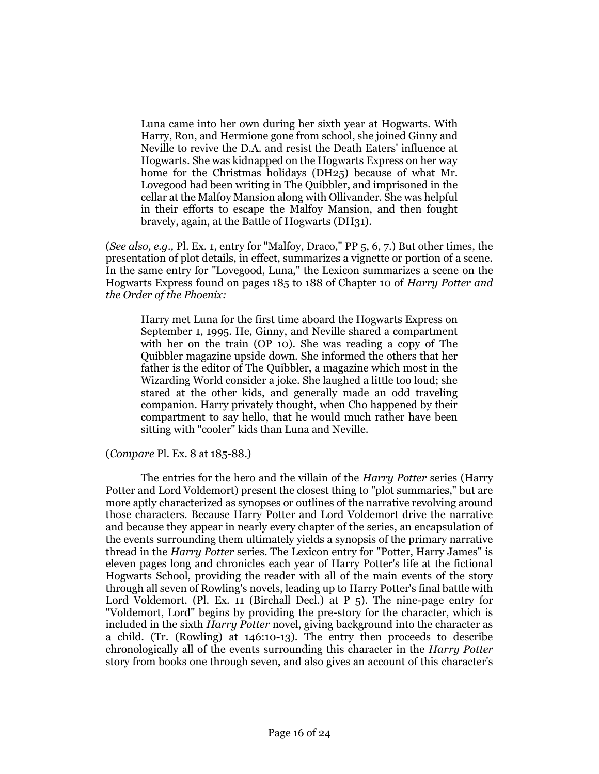Luna came into her own during her sixth year at Hogwarts. With Harry, Ron, and Hermione gone from school, she joined Ginny and Neville to revive the D.A. and resist the Death Eaters' influence at Hogwarts. She was kidnapped on the Hogwarts Express on her way home for the Christmas holidays (DH25) because of what Mr. Lovegood had been writing in The Quibbler, and imprisoned in the cellar at the Malfoy Mansion along with Ollivander. She was helpful in their efforts to escape the Malfoy Mansion, and then fought bravely, again, at the Battle of Hogwarts (DH31).

(*See also, e.g.,* Pl. Ex. 1, entry for "Malfoy, Draco," PP 5, 6, 7.) But other times, the presentation of plot details, in effect, summarizes a vignette or portion of a scene. In the same entry for "Lovegood, Luna," the Lexicon summarizes a scene on the Hogwarts Express found on pages 185 to 188 of Chapter 10 of *Harry Potter and the Order of the Phoenix:*

Harry met Luna for the first time aboard the Hogwarts Express on September 1, 1995. He, Ginny, and Neville shared a compartment with her on the train (OP 10). She was reading a copy of The Quibbler magazine upside down. She informed the others that her father is the editor of The Quibbler, a magazine which most in the Wizarding World consider a joke. She laughed a little too loud; she stared at the other kids, and generally made an odd traveling companion. Harry privately thought, when Cho happened by their compartment to say hello, that he would much rather have been sitting with "cooler" kids than Luna and Neville.

(*Compare* Pl. Ex. 8 at 185-88.)

The entries for the hero and the villain of the *Harry Potter* series (Harry Potter and Lord Voldemort) present the closest thing to "plot summaries," but are more aptly characterized as synopses or outlines of the narrative revolving around those characters. Because Harry Potter and Lord Voldemort drive the narrative and because they appear in nearly every chapter of the series, an encapsulation of the events surrounding them ultimately yields a synopsis of the primary narrative thread in the *Harry Potter* series. The Lexicon entry for "Potter, Harry James" is eleven pages long and chronicles each year of Harry Potter's life at the fictional Hogwarts School, providing the reader with all of the main events of the story through all seven of Rowling's novels, leading up to Harry Potter's final battle with Lord Voldemort. (Pl. Ex. 11 (Birchall Decl.) at P 5). The nine-page entry for "Voldemort, Lord" begins by providing the pre-story for the character, which is included in the sixth *Harry Potter* novel, giving background into the character as a child. (Tr. (Rowling) at 146:10-13). The entry then proceeds to describe chronologically all of the events surrounding this character in the *Harry Potter* story from books one through seven, and also gives an account of this character's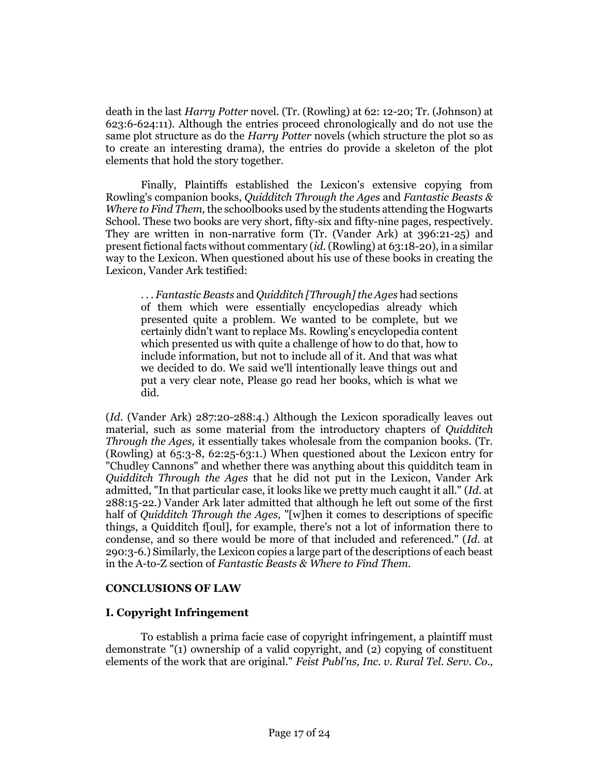death in the last *Harry Potter* novel. (Tr. (Rowling) at 62: 12-20; Tr. (Johnson) at 623:6-624:11). Although the entries proceed chronologically and do not use the same plot structure as do the *Harry Potter* novels (which structure the plot so as to create an interesting drama), the entries do provide a skeleton of the plot elements that hold the story together.

Finally, Plaintiffs established the Lexicon's extensive copying from Rowling's companion books, *Quidditch Through the Ages* and *Fantastic Beasts & Where to Find Them,* the schoolbooks used by the students attending the Hogwarts School. These two books are very short, fifty-six and fifty-nine pages, respectively. They are written in non-narrative form (Tr. (Vander Ark) at 396:21-25) and present fictional facts without commentary (*id.*(Rowling) at 63:18-20), in a similar way to the Lexicon. When questioned about his use of these books in creating the Lexicon, Vander Ark testified:

. . . *Fantastic Beasts* and *Quidditch [Through] the Ages* had sections of them which were essentially encyclopedias already which presented quite a problem. We wanted to be complete, but we certainly didn't want to replace Ms. Rowling's encyclopedia content which presented us with quite a challenge of how to do that, how to include information, but not to include all of it. And that was what we decided to do. We said we'll intentionally leave things out and put a very clear note, Please go read her books, which is what we did.

(*Id.* (Vander Ark) 287:20-288:4.) Although the Lexicon sporadically leaves out material, such as some material from the introductory chapters of *Quidditch Through the Ages,* it essentially takes wholesale from the companion books. (Tr. (Rowling) at 65:3-8, 62:25-63:1.) When questioned about the Lexicon entry for "Chudley Cannons" and whether there was anything about this quidditch team in *Quidditch Through the Ages* that he did not put in the Lexicon, Vander Ark admitted, "In that particular case, it looks like we pretty much caught it all." (*Id.* at 288:15-22.) Vander Ark later admitted that although he left out some of the first half of *Quidditch Through the Ages,* "[w]hen it comes to descriptions of specific things, a Quidditch f[oul], for example, there's not a lot of information there to condense, and so there would be more of that included and referenced." (*Id.* at 290:3-6.) Similarly, the Lexicon copies a large part of the descriptions of each beast in the A-to-Z section of *Fantastic Beasts & Where to Find Them.*

#### **CONCLUSIONS OF LAW**

## **I. Copyright Infringement**

To establish a prima facie case of copyright infringement, a plaintiff must demonstrate "(1) ownership of a valid copyright, and (2) copying of constituent elements of the work that are original." *Feist Publ'ns, Inc. v. Rural Tel. Serv. Co.,*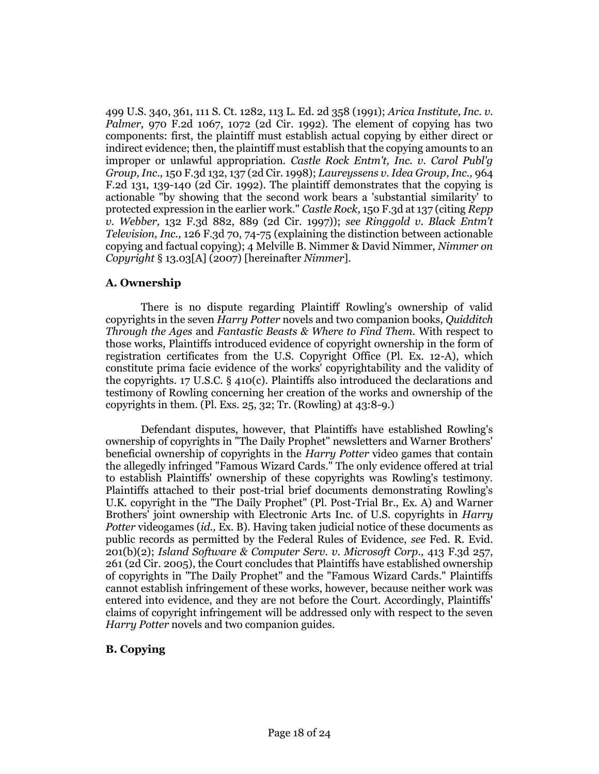499 U.S. 340, 361, 111 S. Ct. 1282, 113 L. Ed. 2d 358 (1991); *Arica Institute, Inc. v. Palmer,* 970 F.2d 1067, 1072 (2d Cir. 1992). The element of copying has two components: first, the plaintiff must establish actual copying by either direct or indirect evidence; then, the plaintiff must establish that the copying amounts to an improper or unlawful appropriation. *Castle Rock Entm't, Inc. v. Carol Publ'g Group, Inc.,* 150 F.3d 132, 137 (2d Cir. 1998); *Laureyssens v. Idea Group, Inc.,* 964 F.2d 131, 139-140 (2d Cir. 1992). The plaintiff demonstrates that the copying is actionable "by showing that the second work bears a 'substantial similarity' to protected expression in the earlier work." *Castle Rock,* 150 F.3d at 137 (citing *Repp v. Webber,* 132 F.3d 882, 889 (2d Cir. 1997)); *see Ringgold v. Black Entm't Television, Inc.,* 126 F.3d 70, 74-75 (explaining the distinction between actionable copying and factual copying); 4 Melville B. Nimmer & David Nimmer, *Nimmer on Copyright* § 13.03[A] (2007) [hereinafter *Nimmer*].

## **A. Ownership**

There is no dispute regarding Plaintiff Rowling's ownership of valid copyrights in the seven *Harry Potter* novels and two companion books, *Quidditch Through the Ages* and *Fantastic Beasts & Where to Find Them.* With respect to those works, Plaintiffs introduced evidence of copyright ownership in the form of registration certificates from the U.S. Copyright Office (Pl. Ex. 12-A), which constitute prima facie evidence of the works' copyrightability and the validity of the copyrights. 17 U.S.C.  $\S$  410(c). Plaintiffs also introduced the declarations and testimony of Rowling concerning her creation of the works and ownership of the copyrights in them. (Pl. Exs. 25, 32; Tr. (Rowling) at 43:8-9.)

Defendant disputes, however, that Plaintiffs have established Rowling's ownership of copyrights in "The Daily Prophet" newsletters and Warner Brothers' beneficial ownership of copyrights in the *Harry Potter* video games that contain the allegedly infringed "Famous Wizard Cards." The only evidence offered at trial to establish Plaintiffs' ownership of these copyrights was Rowling's testimony. Plaintiffs attached to their post-trial brief documents demonstrating Rowling's U.K. copyright in the "The Daily Prophet" (Pl. Post-Trial Br., Ex. A) and Warner Brothers' joint ownership with Electronic Arts Inc. of U.S. copyrights in *Harry Potter* videogames (*id.,* Ex. B). Having taken judicial notice of these documents as public records as permitted by the Federal Rules of Evidence, *see* Fed. R. Evid. 201(b)(2); *Island Software & Computer Serv. v. Microsoft Corp.,* 413 F.3d 257, 261 (2d Cir. 2005), the Court concludes that Plaintiffs have established ownership of copyrights in "The Daily Prophet" and the "Famous Wizard Cards." Plaintiffs cannot establish infringement of these works, however, because neither work was entered into evidence, and they are not before the Court. Accordingly, Plaintiffs' claims of copyright infringement will be addressed only with respect to the seven *Harry Potter* novels and two companion guides.

## **B. Copying**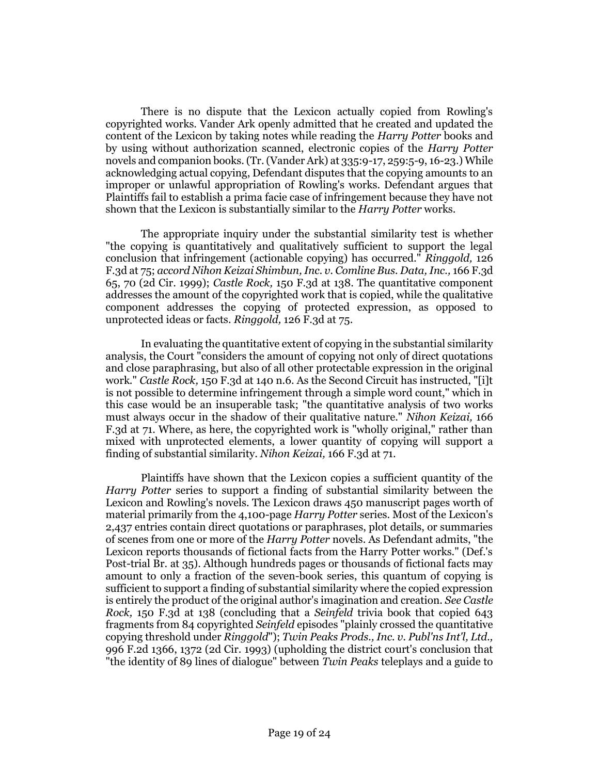There is no dispute that the Lexicon actually copied from Rowling's copyrighted works. Vander Ark openly admitted that he created and updated the content of the Lexicon by taking notes while reading the *Harry Potter* books and by using without authorization scanned, electronic copies of the *Harry Potter* novels and companion books. (Tr. (Vander Ark) at 335:9-17, 259:5-9, 16-23.) While acknowledging actual copying, Defendant disputes that the copying amounts to an improper or unlawful appropriation of Rowling's works. Defendant argues that Plaintiffs fail to establish a prima facie case of infringement because they have not shown that the Lexicon is substantially similar to the *Harry Potter* works.

The appropriate inquiry under the substantial similarity test is whether "the copying is quantitatively and qualitatively sufficient to support the legal conclusion that infringement (actionable copying) has occurred." *Ringgold,* 126 F.3d at 75; *accord Nihon Keizai Shimbun, Inc. v. Comline Bus. Data, Inc.,* 166 F.3d 65, 70 (2d Cir. 1999); *Castle Rock,* 150 F.3d at 138. The quantitative component addresses the amount of the copyrighted work that is copied, while the qualitative component addresses the copying of protected expression, as opposed to unprotected ideas or facts. *Ringgold,* 126 F.3d at 75.

In evaluating the quantitative extent of copying in the substantial similarity analysis, the Court "considers the amount of copying not only of direct quotations and close paraphrasing, but also of all other protectable expression in the original work." *Castle Rock,* 150 F.3d at 140 n.6. As the Second Circuit has instructed, "[i]t is not possible to determine infringement through a simple word count," which in this case would be an insuperable task; "the quantitative analysis of two works must always occur in the shadow of their qualitative nature." *Nihon Keizai,* 166 F.3d at 71. Where, as here, the copyrighted work is "wholly original," rather than mixed with unprotected elements, a lower quantity of copying will support a finding of substantial similarity. *Nihon Keizai,* 166 F.3d at 71.

Plaintiffs have shown that the Lexicon copies a sufficient quantity of the *Harry Potter* series to support a finding of substantial similarity between the Lexicon and Rowling's novels. The Lexicon draws 450 manuscript pages worth of material primarily from the 4,100-page *Harry Potter* series. Most of the Lexicon's 2,437 entries contain direct quotations or paraphrases, plot details, or summaries of scenes from one or more of the *Harry Potter* novels. As Defendant admits, "the Lexicon reports thousands of fictional facts from the Harry Potter works." (Def.'s Post-trial Br. at 35). Although hundreds pages or thousands of fictional facts may amount to only a fraction of the seven-book series, this quantum of copying is sufficient to support a finding of substantial similarity where the copied expression is entirely the product of the original author's imagination and creation. *See Castle Rock,* 150 F.3d at 138 (concluding that a *Seinfeld* trivia book that copied 643 fragments from 84 copyrighted *Seinfeld* episodes "plainly crossed the quantitative copying threshold under *Ringgold*"); *Twin Peaks Prods., Inc. v. Publ'ns Int'l, Ltd.,* 996 F.2d 1366, 1372 (2d Cir. 1993) (upholding the district court's conclusion that "the identity of 89 lines of dialogue" between *Twin Peaks* teleplays and a guide to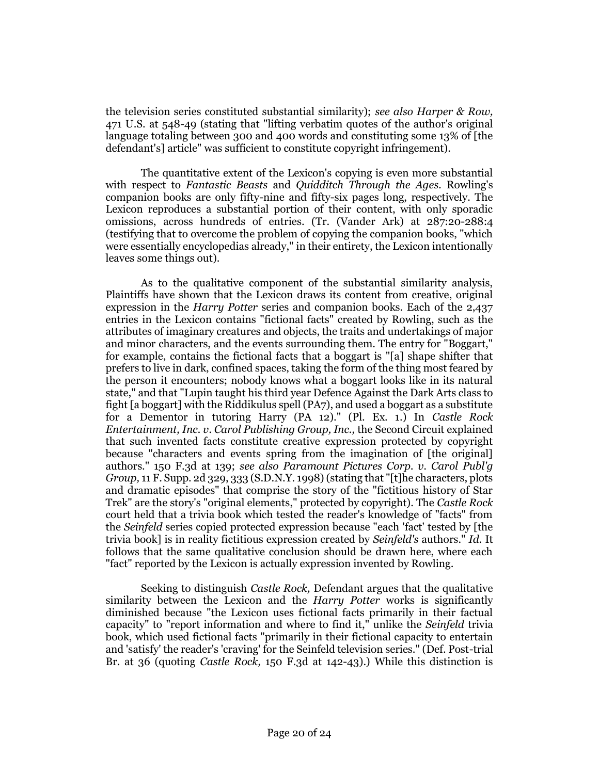the television series constituted substantial similarity); *see also Harper & Row,* 471 U.S. at 548-49 (stating that "lifting verbatim quotes of the author's original language totaling between 300 and 400 words and constituting some 13% of [the defendant's] article" was sufficient to constitute copyright infringement).

The quantitative extent of the Lexicon's copying is even more substantial with respect to *Fantastic Beasts* and *Quidditch Through the Ages.* Rowling's companion books are only fifty-nine and fifty-six pages long, respectively. The Lexicon reproduces a substantial portion of their content, with only sporadic omissions, across hundreds of entries. (Tr. (Vander Ark) at 287:20-288:4 (testifying that to overcome the problem of copying the companion books, "which were essentially encyclopedias already," in their entirety, the Lexicon intentionally leaves some things out).

As to the qualitative component of the substantial similarity analysis, Plaintiffs have shown that the Lexicon draws its content from creative, original expression in the *Harry Potter* series and companion books. Each of the 2,437 entries in the Lexicon contains "fictional facts" created by Rowling, such as the attributes of imaginary creatures and objects, the traits and undertakings of major and minor characters, and the events surrounding them. The entry for "Boggart," for example, contains the fictional facts that a boggart is "[a] shape shifter that prefers to live in dark, confined spaces, taking the form of the thing most feared by the person it encounters; nobody knows what a boggart looks like in its natural state," and that "Lupin taught his third year Defence Against the Dark Arts class to fight [a boggart] with the Riddikulus spell (PA7), and used a boggart as a substitute for a Dementor in tutoring Harry (PA 12)." (Pl. Ex. 1.) In *Castle Rock Entertainment, Inc. v. Carol Publishing Group, Inc.,* the Second Circuit explained that such invented facts constitute creative expression protected by copyright because "characters and events spring from the imagination of [the original] authors." 150 F.3d at 139; *see also Paramount Pictures Corp. v. Carol Publ'g Group,* 11 F. Supp. 2d 329, 333 (S.D.N.Y. 1998) (stating that "[t]he characters, plots and dramatic episodes" that comprise the story of the "fictitious history of Star Trek" are the story's "original elements," protected by copyright). The *Castle Rock* court held that a trivia book which tested the reader's knowledge of "facts" from the *Seinfeld* series copied protected expression because "each 'fact' tested by [the trivia book] is in reality fictitious expression created by *Seinfeld's* authors." *Id.* It follows that the same qualitative conclusion should be drawn here, where each "fact" reported by the Lexicon is actually expression invented by Rowling.

Seeking to distinguish *Castle Rock,* Defendant argues that the qualitative similarity between the Lexicon and the *Harry Potter* works is significantly diminished because "the Lexicon uses fictional facts primarily in their factual capacity" to "report information and where to find it," unlike the *Seinfeld* trivia book, which used fictional facts "primarily in their fictional capacity to entertain and 'satisfy' the reader's 'craving' for the Seinfeld television series." (Def. Post-trial Br. at 36 (quoting *Castle Rock,* 150 F.3d at 142-43).) While this distinction is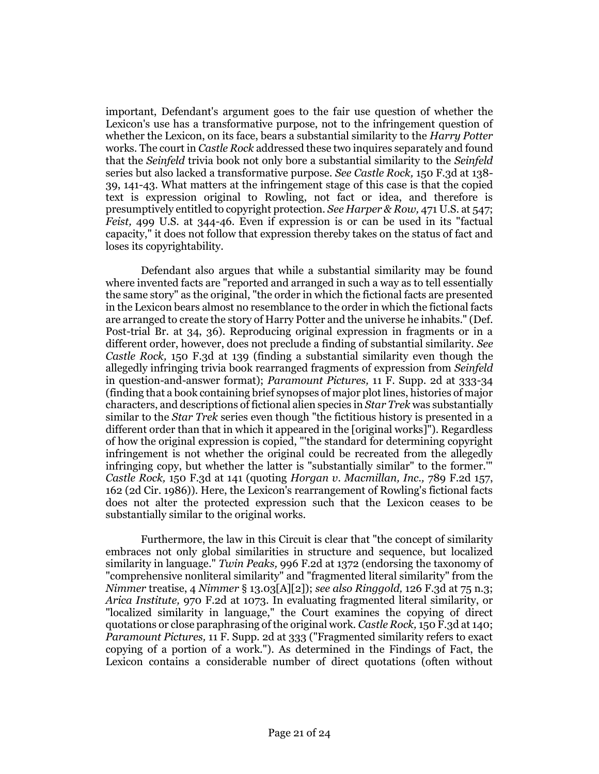important, Defendant's argument goes to the fair use question of whether the Lexicon's use has a transformative purpose, not to the infringement question of whether the Lexicon, on its face, bears a substantial similarity to the *Harry Potter* works. The court in *Castle Rock* addressed these two inquires separately and found that the *Seinfeld* trivia book not only bore a substantial similarity to the *Seinfeld* series but also lacked a transformative purpose. *See Castle Rock,* 150 F.3d at 138- 39, 141-43. What matters at the infringement stage of this case is that the copied text is expression original to Rowling, not fact or idea, and therefore is presumptively entitled to copyright protection. *See Harper & Row,* 471 U.S. at 547; *Feist,* 499 U.S. at 344-46. Even if expression is or can be used in its "factual capacity," it does not follow that expression thereby takes on the status of fact and loses its copyrightability.

Defendant also argues that while a substantial similarity may be found where invented facts are "reported and arranged in such a way as to tell essentially the same story" as the original, "the order in which the fictional facts are presented in the Lexicon bears almost no resemblance to the order in which the fictional facts are arranged to create the story of Harry Potter and the universe he inhabits." (Def. Post-trial Br. at 34, 36). Reproducing original expression in fragments or in a different order, however, does not preclude a finding of substantial similarity. *See Castle Rock,* 150 F.3d at 139 (finding a substantial similarity even though the allegedly infringing trivia book rearranged fragments of expression from *Seinfeld* in question-and-answer format); *Paramount Pictures,* 11 F. Supp. 2d at 333-34 (finding that a book containing brief synopses of major plot lines, histories of major characters, and descriptions of fictional alien species in *Star Trek* was substantially similar to the *Star Trek* series even though "the fictitious history is presented in a different order than that in which it appeared in the [original works]"). Regardless of how the original expression is copied, "'the standard for determining copyright infringement is not whether the original could be recreated from the allegedly infringing copy, but whether the latter is "substantially similar" to the former.'" *Castle Rock,* 150 F.3d at 141 (quoting *Horgan v. Macmillan, Inc.,* 789 F.2d 157, 162 (2d Cir. 1986)). Here, the Lexicon's rearrangement of Rowling's fictional facts does not alter the protected expression such that the Lexicon ceases to be substantially similar to the original works.

Furthermore, the law in this Circuit is clear that "the concept of similarity embraces not only global similarities in structure and sequence, but localized similarity in language." *Twin Peaks,* 996 F.2d at 1372 (endorsing the taxonomy of "comprehensive nonliteral similarity" and "fragmented literal similarity" from the *Nimmer* treatise, 4 *Nimmer* § 13.03[A][2]); *see also Ringgold,* 126 F.3d at 75 n.3; *Arica Institute,* 970 F.2d at 1073. In evaluating fragmented literal similarity, or "localized similarity in language," the Court examines the copying of direct quotations or close paraphrasing of the original work. *Castle Rock,* 150 F.3d at 140; *Paramount Pictures,* 11 F. Supp. 2d at 333 ("Fragmented similarity refers to exact copying of a portion of a work."). As determined in the Findings of Fact, the Lexicon contains a considerable number of direct quotations (often without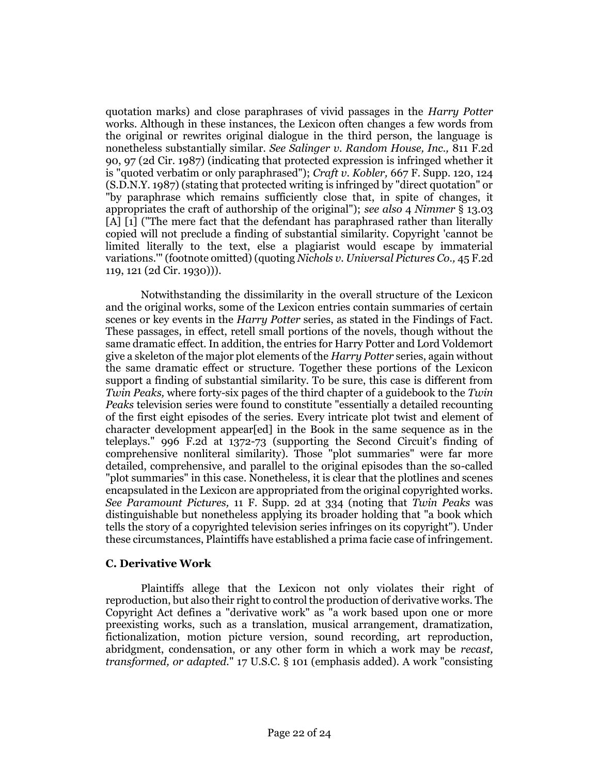quotation marks) and close paraphrases of vivid passages in the *Harry Potter* works. Although in these instances, the Lexicon often changes a few words from the original or rewrites original dialogue in the third person, the language is nonetheless substantially similar. *See Salinger v. Random House, Inc.,* 811 F.2d 90, 97 (2d Cir. 1987) (indicating that protected expression is infringed whether it is "quoted verbatim or only paraphrased"); *Craft v. Kobler,* 667 F. Supp. 120, 124 (S.D.N.Y. 1987) (stating that protected writing is infringed by "direct quotation" or "by paraphrase which remains sufficiently close that, in spite of changes, it appropriates the craft of authorship of the original"); *see also* 4 *Nimmer* § 13.03 [A] [1] ("The mere fact that the defendant has paraphrased rather than literally copied will not preclude a finding of substantial similarity. Copyright 'cannot be limited literally to the text, else a plagiarist would escape by immaterial variations.'" (footnote omitted) (quoting *Nichols v. Universal Pictures Co.,* 45 F.2d 119, 121 (2d Cir. 1930))).

Notwithstanding the dissimilarity in the overall structure of the Lexicon and the original works, some of the Lexicon entries contain summaries of certain scenes or key events in the *Harry Potter* series, as stated in the Findings of Fact. These passages, in effect, retell small portions of the novels, though without the same dramatic effect. In addition, the entries for Harry Potter and Lord Voldemort give a skeleton of the major plot elements of the *Harry Potter* series, again without the same dramatic effect or structure. Together these portions of the Lexicon support a finding of substantial similarity. To be sure, this case is different from *Twin Peaks,* where forty-six pages of the third chapter of a guidebook to the *Twin Peaks* television series were found to constitute "essentially a detailed recounting of the first eight episodes of the series. Every intricate plot twist and element of character development appear[ed] in the Book in the same sequence as in the teleplays." 996 F.2d at 1372-73 (supporting the Second Circuit's finding of comprehensive nonliteral similarity). Those "plot summaries" were far more detailed, comprehensive, and parallel to the original episodes than the so-called "plot summaries" in this case. Nonetheless, it is clear that the plotlines and scenes encapsulated in the Lexicon are appropriated from the original copyrighted works. *See Paramount Pictures,* 11 F. Supp. 2d at 334 (noting that *Twin Peaks* was distinguishable but nonetheless applying its broader holding that "a book which tells the story of a copyrighted television series infringes on its copyright"). Under these circumstances, Plaintiffs have established a prima facie case of infringement.

## **C. Derivative Work**

Plaintiffs allege that the Lexicon not only violates their right of reproduction, but also their right to control the production of derivative works. The Copyright Act defines a "derivative work" as "a work based upon one or more preexisting works, such as a translation, musical arrangement, dramatization, fictionalization, motion picture version, sound recording, art reproduction, abridgment, condensation, or any other form in which a work may be *recast, transformed, or adapted.*" 17 U.S.C. § 101 (emphasis added). A work "consisting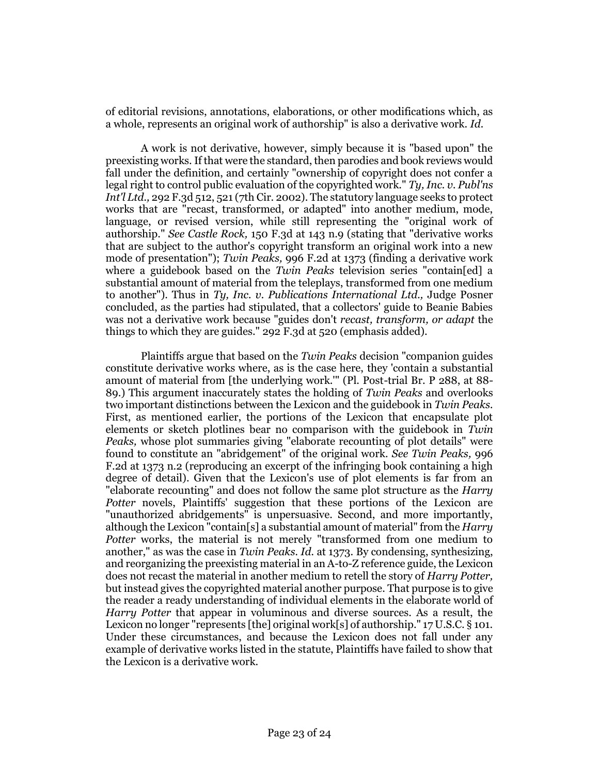of editorial revisions, annotations, elaborations, or other modifications which, as a whole, represents an original work of authorship" is also a derivative work. *Id.*

A work is not derivative, however, simply because it is "based upon" the preexisting works. If that were the standard, then parodies and book reviews would fall under the definition, and certainly "ownership of copyright does not confer a legal right to control public evaluation of the copyrighted work." *Ty, Inc. v. Publ'ns Int'l Ltd.,* 292 F.3d 512, 521 (7th Cir. 2002). The statutory language seeks to protect works that are "recast, transformed, or adapted" into another medium, mode, language, or revised version, while still representing the "original work of authorship." *See Castle Rock,* 150 F.3d at 143 n.9 (stating that "derivative works that are subject to the author's copyright transform an original work into a new mode of presentation"); *Twin Peaks,* 996 F.2d at 1373 (finding a derivative work where a guidebook based on the *Twin Peaks* television series "contain[ed] a substantial amount of material from the teleplays, transformed from one medium to another"). Thus in *Ty, Inc. v. Publications International Ltd.,* Judge Posner concluded, as the parties had stipulated, that a collectors' guide to Beanie Babies was not a derivative work because "guides don't *recast, transform, or adapt* the things to which they are guides." 292 F.3d at 520 (emphasis added).

Plaintiffs argue that based on the *Twin Peaks* decision "companion guides constitute derivative works where, as is the case here, they 'contain a substantial amount of material from [the underlying work.'" (Pl. Post-trial Br. P 288, at 88- 89.) This argument inaccurately states the holding of *Twin Peaks* and overlooks two important distinctions between the Lexicon and the guidebook in *Twin Peaks.* First, as mentioned earlier, the portions of the Lexicon that encapsulate plot elements or sketch plotlines bear no comparison with the guidebook in *Twin Peaks,* whose plot summaries giving "elaborate recounting of plot details" were found to constitute an "abridgement" of the original work. *See Twin Peaks,* 996 F.2d at 1373 n.2 (reproducing an excerpt of the infringing book containing a high degree of detail). Given that the Lexicon's use of plot elements is far from an "elaborate recounting" and does not follow the same plot structure as the *Harry Potter* novels, Plaintiffs' suggestion that these portions of the Lexicon are "unauthorized abridgements" is unpersuasive. Second, and more importantly, although the Lexicon "contain[s] a substantial amount of material" from the *Harry Potter* works, the material is not merely "transformed from one medium to another," as was the case in *Twin Peaks. Id.* at 1373. By condensing, synthesizing, and reorganizing the preexisting material in an A-to-Z reference guide, the Lexicon does not recast the material in another medium to retell the story of *Harry Potter,* but instead gives the copyrighted material another purpose. That purpose is to give the reader a ready understanding of individual elements in the elaborate world of *Harry Potter* that appear in voluminous and diverse sources. As a result, the Lexicon no longer "represents [the] original work[s] of authorship." 17 U.S.C. § 101. Under these circumstances, and because the Lexicon does not fall under any example of derivative works listed in the statute, Plaintiffs have failed to show that the Lexicon is a derivative work.